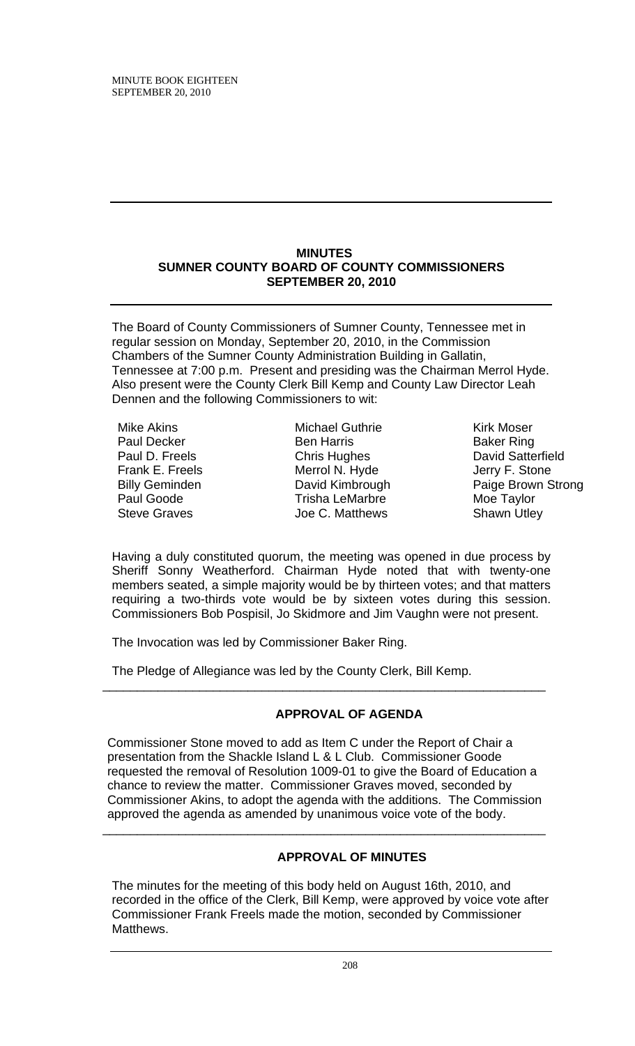## **MINUTES SUMNER COUNTY BOARD OF COUNTY COMMISSIONERS SEPTEMBER 20, 2010**

The Board of County Commissioners of Sumner County, Tennessee met in regular session on Monday, September 20, 2010, in the Commission Chambers of the Sumner County Administration Building in Gallatin, Tennessee at 7:00 p.m. Present and presiding was the Chairman Merrol Hyde. Also present were the County Clerk Bill Kemp and County Law Director Leah Dennen and the following Commissioners to wit:

- Mike Akins Paul Decker Paul D. Freels Frank E. Freels Billy Geminden Paul Goode Steve Graves
- Michael Guthrie Ben Harris Chris Hughes Merrol N. Hyde David Kimbrough Trisha LeMarbre Joe C. Matthews

Kirk Moser Baker Ring David Satterfield Jerry F. Stone Paige Brown Strong Moe Taylor Shawn Utley

Having a duly constituted quorum, the meeting was opened in due process by Sheriff Sonny Weatherford. Chairman Hyde noted that with twenty-one members seated, a simple majority would be by thirteen votes; and that matters requiring a two-thirds vote would be by sixteen votes during this session. Commissioners Bob Pospisil, Jo Skidmore and Jim Vaughn were not present.

The Invocation was led by Commissioner Baker Ring.

The Pledge of Allegiance was led by the County Clerk, Bill Kemp.

# **APPROVAL OF AGENDA**

Commissioner Stone moved to add as Item C under the Report of Chair a presentation from the Shackle Island L & L Club. Commissioner Goode requested the removal of Resolution 1009-01 to give the Board of Education a chance to review the matter. Commissioner Graves moved, seconded by Commissioner Akins, to adopt the agenda with the additions. The Commission approved the agenda as amended by unanimous voice vote of the body.

\_\_\_\_\_\_\_\_\_\_\_\_\_\_\_\_\_\_\_\_\_\_\_\_\_\_\_\_\_\_\_\_\_\_\_\_\_\_\_\_\_\_\_\_\_\_\_\_\_\_\_\_\_\_\_\_\_\_\_\_\_\_\_\_

\_\_\_\_\_\_\_\_\_\_\_\_\_\_\_\_\_\_\_\_\_\_\_\_\_\_\_\_\_\_\_\_\_\_\_\_\_\_\_\_\_\_\_\_\_\_\_\_\_\_\_\_\_\_\_\_\_\_\_\_\_\_\_\_

# **APPROVAL OF MINUTES**

The minutes for the meeting of this body held on August 16th, 2010, and recorded in the office of the Clerk, Bill Kemp, were approved by voice vote after Commissioner Frank Freels made the motion, seconded by Commissioner Matthews.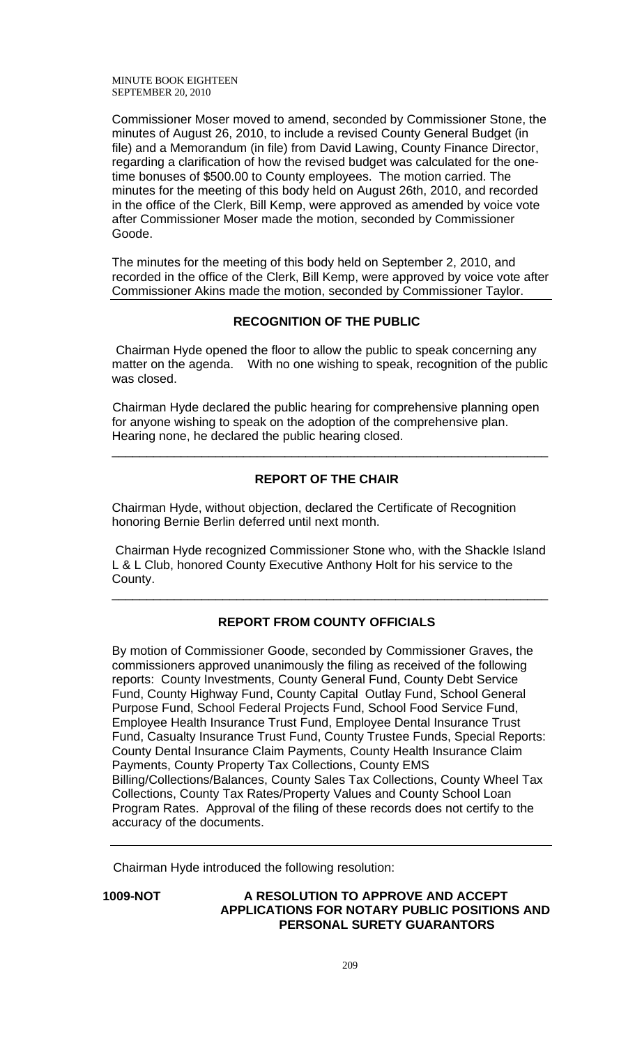MINUTE BOOK EIGHTEEN SEPTEMBER 20, 2010

Commissioner Moser moved to amend, seconded by Commissioner Stone, the minutes of August 26, 2010, to include a revised County General Budget (in file) and a Memorandum (in file) from David Lawing, County Finance Director, regarding a clarification of how the revised budget was calculated for the onetime bonuses of \$500.00 to County employees. The motion carried. The minutes for the meeting of this body held on August 26th, 2010, and recorded in the office of the Clerk, Bill Kemp, were approved as amended by voice vote after Commissioner Moser made the motion, seconded by Commissioner Goode.

The minutes for the meeting of this body held on September 2, 2010, and recorded in the office of the Clerk, Bill Kemp, were approved by voice vote after Commissioner Akins made the motion, seconded by Commissioner Taylor.

# **RECOGNITION OF THE PUBLIC**

 Chairman Hyde opened the floor to allow the public to speak concerning any matter on the agenda. With no one wishing to speak, recognition of the public was closed.

Chairman Hyde declared the public hearing for comprehensive planning open for anyone wishing to speak on the adoption of the comprehensive plan. Hearing none, he declared the public hearing closed.

\_\_\_\_\_\_\_\_\_\_\_\_\_\_\_\_\_\_\_\_\_\_\_\_\_\_\_\_\_\_\_\_\_\_\_\_\_\_\_\_\_\_\_\_\_\_\_\_\_\_\_\_\_\_\_\_\_\_\_\_\_\_\_

# **REPORT OF THE CHAIR**

Chairman Hyde, without objection, declared the Certificate of Recognition honoring Bernie Berlin deferred until next month.

 Chairman Hyde recognized Commissioner Stone who, with the Shackle Island L & L Club, honored County Executive Anthony Holt for his service to the County.

\_\_\_\_\_\_\_\_\_\_\_\_\_\_\_\_\_\_\_\_\_\_\_\_\_\_\_\_\_\_\_\_\_\_\_\_\_\_\_\_\_\_\_\_\_\_\_\_\_\_\_\_\_\_\_\_\_\_\_\_\_\_\_

## **REPORT FROM COUNTY OFFICIALS**

By motion of Commissioner Goode, seconded by Commissioner Graves, the commissioners approved unanimously the filing as received of the following reports: County Investments, County General Fund, County Debt Service Fund, County Highway Fund, County Capital Outlay Fund, School General Purpose Fund, School Federal Projects Fund, School Food Service Fund, Employee Health Insurance Trust Fund, Employee Dental Insurance Trust Fund, Casualty Insurance Trust Fund, County Trustee Funds, Special Reports: County Dental Insurance Claim Payments, County Health Insurance Claim Payments, County Property Tax Collections, County EMS Billing/Collections/Balances, County Sales Tax Collections, County Wheel Tax Collections, County Tax Rates/Property Values and County School Loan Program Rates. Approval of the filing of these records does not certify to the accuracy of the documents.

Chairman Hyde introduced the following resolution:

# **1009-NOT A RESOLUTION TO APPROVE AND ACCEPT APPLICATIONS FOR NOTARY PUBLIC POSITIONS AND PERSONAL SURETY GUARANTORS**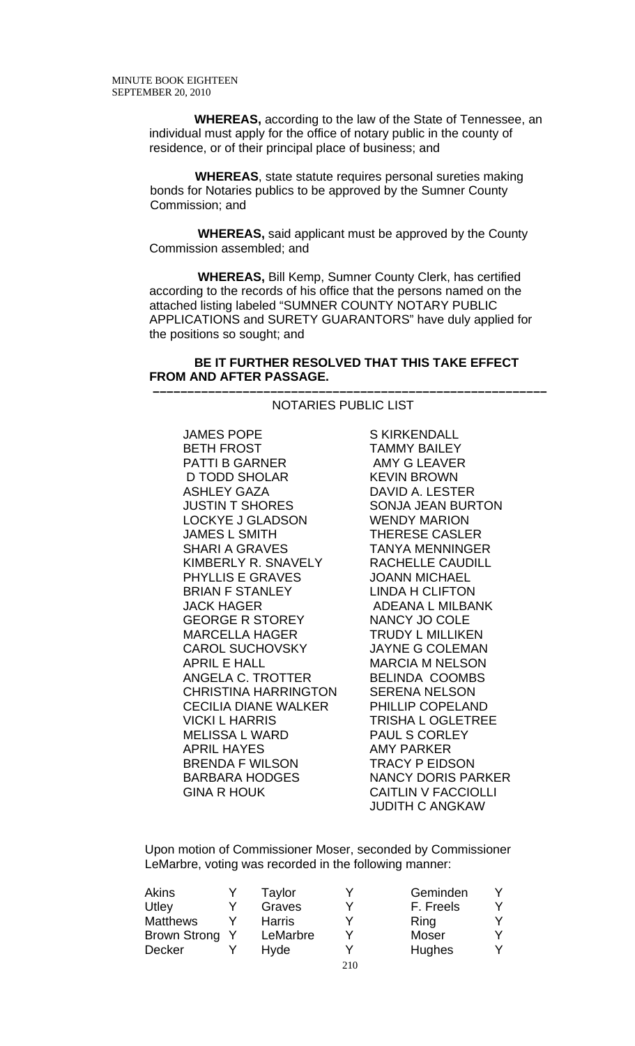**WHEREAS,** according to the law of the State of Tennessee, an individual must apply for the office of notary public in the county of residence, or of their principal place of business; and

 **WHEREAS**, state statute requires personal sureties making bonds for Notaries publics to be approved by the Sumner County Commission; and

 **WHEREAS,** said applicant must be approved by the County Commission assembled; and

 **WHEREAS,** Bill Kemp, Sumner County Clerk, has certified according to the records of his office that the persons named on the attached listing labeled "SUMNER COUNTY NOTARY PUBLIC APPLICATIONS and SURETY GUARANTORS" have duly applied for the positions so sought; and

## **BE IT FURTHER RESOLVED THAT THIS TAKE EFFECT FROM AND AFTER PASSAGE.**

#### **–––––––––––––––––––––––––––––––––––––––––––––––––––––––––** NOTARIES PUBLIC LIST

JAMES POPE BETH FROST PATTI B GARNER D TODD SHOLAR ASHLEY GAZA JUSTIN T SHORES LOCKYE J GLADSON JAMES L SMITH SHARI A GRAVES KIMBERLY R. SNAVELY PHYLLIS E GRAVES BRIAN F STANLEY JACK HAGER GEORGE R STOREY MARCELLA HAGER CAROL SUCHOVSKY APRIL E HALL ANGELA C. TROTTER CHRISTINA HARRINGTON CECILIA DIANE WALKER VICKI L HARRIS MELISSA L WARD APRIL HAYES BRENDA F WILSON BARBARA HODGES GINA R HOUK

S KIRKENDALL TAMMY BAILEY AMY G LEAVER KEVIN BROWN DAVID A. LESTER SONJA JEAN BURTON WENDY MARION THERESE CASLER TANYA MENNINGER RACHELLE CAUDILL JOANN MICHAEL LINDA H CLIFTON ADEANA L MILBANK NANCY JO COLE TRUDY L MILLIKEN JAYNE G COLEMAN MARCIA M NELSON BELINDA COOMBS SERENA NELSON PHILLIP COPELAND TRISHA L OGLETREE PAUL S CORLEY AMY PARKER TRACY P EIDSON NANCY DORIS PARKER CAITLIN V FACCIOLLI JUDITH C ANGKAW

Upon motion of Commissioner Moser, seconded by Commissioner LeMarbre, voting was recorded in the following manner:

| Akins           | Taylor        |     | Geminden  |  |
|-----------------|---------------|-----|-----------|--|
| Utley           | Graves        |     | F. Freels |  |
| <b>Matthews</b> | <b>Harris</b> |     | Ring      |  |
| Brown Strong    | LeMarbre      |     | Moser     |  |
| Decker          | Hyde          |     | Hughes    |  |
|                 |               | 210 |           |  |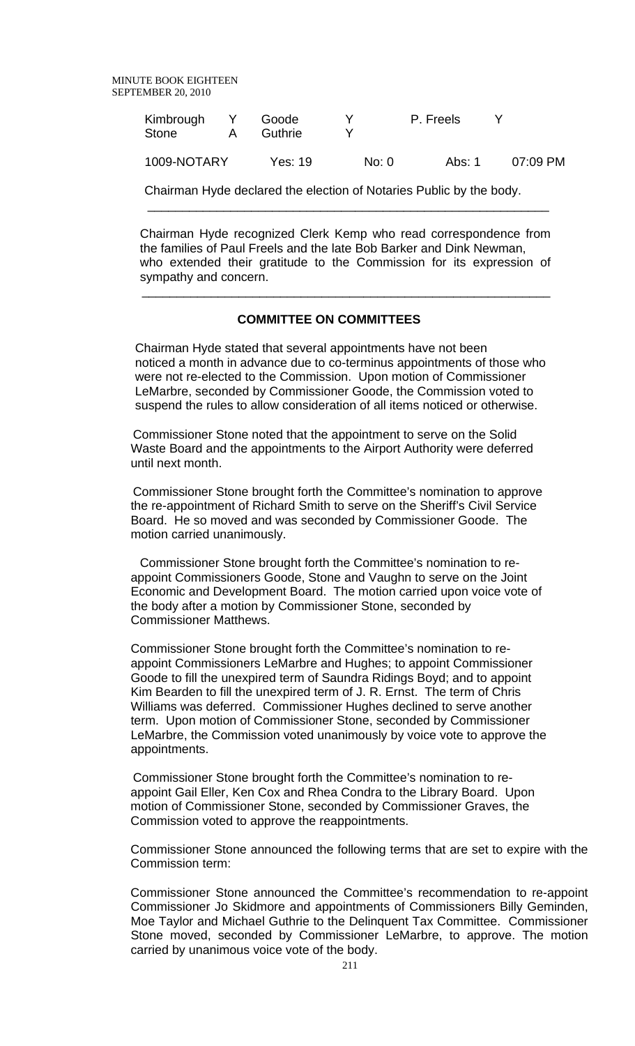| Kimbrough<br><b>Stone</b> | А | Goode<br>Guthrie |       | P. Freels |          |
|---------------------------|---|------------------|-------|-----------|----------|
| 1009-NOTARY               |   | Yes: 19          | No: 0 | Abs: 1    | 07:09 PM |

 Chairman Hyde declared the election of Notaries Public by the body.  $\overline{\phantom{a}}$  , and the contract of the contract of the contract of the contract of the contract of the contract of the contract of the contract of the contract of the contract of the contract of the contract of the contrac

Chairman Hyde recognized Clerk Kemp who read correspondence from the families of Paul Freels and the late Bob Barker and Dink Newman, who extended their gratitude to the Commission for its expression of sympathy and concern.

# **COMMITTEE ON COMMITTEES**

 $\overline{\phantom{a}}$  , and the contribution of the contribution of the contribution of the contribution of the contribution of  $\overline{\phantom{a}}$ 

Chairman Hyde stated that several appointments have not been noticed a month in advance due to co-terminus appointments of those who were not re-elected to the Commission. Upon motion of Commissioner LeMarbre, seconded by Commissioner Goode, the Commission voted to suspend the rules to allow consideration of all items noticed or otherwise.

 Commissioner Stone noted that the appointment to serve on the Solid Waste Board and the appointments to the Airport Authority were deferred until next month.

 Commissioner Stone brought forth the Committee's nomination to approve the re-appointment of Richard Smith to serve on the Sheriff's Civil Service Board. He so moved and was seconded by Commissioner Goode. The motion carried unanimously.

 Commissioner Stone brought forth the Committee's nomination to reappoint Commissioners Goode, Stone and Vaughn to serve on the Joint Economic and Development Board. The motion carried upon voice vote of the body after a motion by Commissioner Stone, seconded by Commissioner Matthews.

Commissioner Stone brought forth the Committee's nomination to reappoint Commissioners LeMarbre and Hughes; to appoint Commissioner Goode to fill the unexpired term of Saundra Ridings Boyd; and to appoint Kim Bearden to fill the unexpired term of J. R. Ernst. The term of Chris Williams was deferred. Commissioner Hughes declined to serve another term. Upon motion of Commissioner Stone, seconded by Commissioner LeMarbre, the Commission voted unanimously by voice vote to approve the appointments.

 Commissioner Stone brought forth the Committee's nomination to reappoint Gail Eller, Ken Cox and Rhea Condra to the Library Board. Upon motion of Commissioner Stone, seconded by Commissioner Graves, the Commission voted to approve the reappointments.

Commissioner Stone announced the following terms that are set to expire with the Commission term:

Commissioner Stone announced the Committee's recommendation to re-appoint Commissioner Jo Skidmore and appointments of Commissioners Billy Geminden, Moe Taylor and Michael Guthrie to the Delinquent Tax Committee. Commissioner Stone moved, seconded by Commissioner LeMarbre, to approve. The motion carried by unanimous voice vote of the body.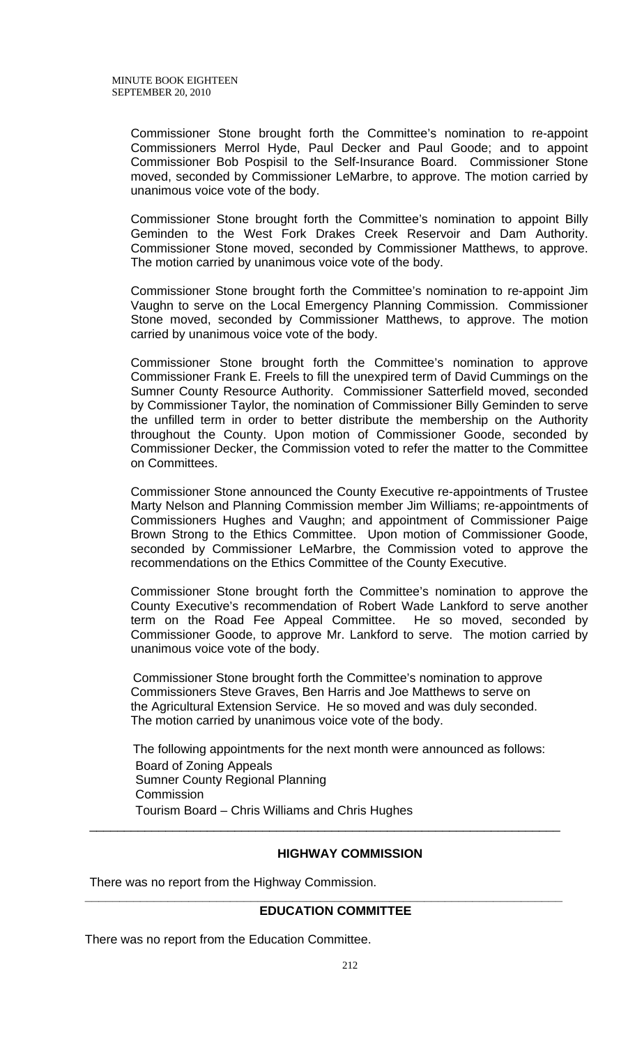Commissioner Stone brought forth the Committee's nomination to re-appoint Commissioners Merrol Hyde, Paul Decker and Paul Goode; and to appoint Commissioner Bob Pospisil to the Self-Insurance Board. Commissioner Stone moved, seconded by Commissioner LeMarbre, to approve. The motion carried by unanimous voice vote of the body.

Commissioner Stone brought forth the Committee's nomination to appoint Billy Geminden to the West Fork Drakes Creek Reservoir and Dam Authority. Commissioner Stone moved, seconded by Commissioner Matthews, to approve. The motion carried by unanimous voice vote of the body.

Commissioner Stone brought forth the Committee's nomination to re-appoint Jim Vaughn to serve on the Local Emergency Planning Commission. Commissioner Stone moved, seconded by Commissioner Matthews, to approve. The motion carried by unanimous voice vote of the body.

Commissioner Stone brought forth the Committee's nomination to approve Commissioner Frank E. Freels to fill the unexpired term of David Cummings on the Sumner County Resource Authority. Commissioner Satterfield moved, seconded by Commissioner Taylor, the nomination of Commissioner Billy Geminden to serve the unfilled term in order to better distribute the membership on the Authority throughout the County. Upon motion of Commissioner Goode, seconded by Commissioner Decker, the Commission voted to refer the matter to the Committee on Committees.

Commissioner Stone announced the County Executive re-appointments of Trustee Marty Nelson and Planning Commission member Jim Williams; re-appointments of Commissioners Hughes and Vaughn; and appointment of Commissioner Paige Brown Strong to the Ethics Committee. Upon motion of Commissioner Goode, seconded by Commissioner LeMarbre, the Commission voted to approve the recommendations on the Ethics Committee of the County Executive.

Commissioner Stone brought forth the Committee's nomination to approve the County Executive's recommendation of Robert Wade Lankford to serve another term on the Road Fee Appeal Committee. He so moved, seconded by Commissioner Goode, to approve Mr. Lankford to serve. The motion carried by unanimous voice vote of the body.

 Commissioner Stone brought forth the Committee's nomination to approve Commissioners Steve Graves, Ben Harris and Joe Matthews to serve on the Agricultural Extension Service. He so moved and was duly seconded. The motion carried by unanimous voice vote of the body.

 The following appointments for the next month were announced as follows: Board of Zoning Appeals Sumner County Regional Planning **Commission** Tourism Board – Chris Williams and Chris Hughes

\_\_\_\_\_\_\_\_\_\_\_\_\_\_\_\_\_\_\_\_\_\_\_\_\_\_\_\_\_\_\_\_\_\_\_\_\_\_\_\_\_\_\_\_\_\_\_\_\_\_\_\_\_\_\_\_\_\_\_\_\_\_\_\_\_\_\_\_

## **HIGHWAY COMMISSION**

There was no report from the Highway Commission.

## **EDUCATION COMMITTEE**

**\_\_\_\_\_\_\_\_\_\_\_\_\_\_\_\_\_\_\_\_\_\_\_\_\_\_\_\_\_\_\_\_\_\_\_\_\_\_\_\_\_\_\_\_\_\_\_\_\_\_\_\_\_\_\_\_\_\_\_\_\_\_\_\_\_\_\_\_\_** 

There was no report from the Education Committee.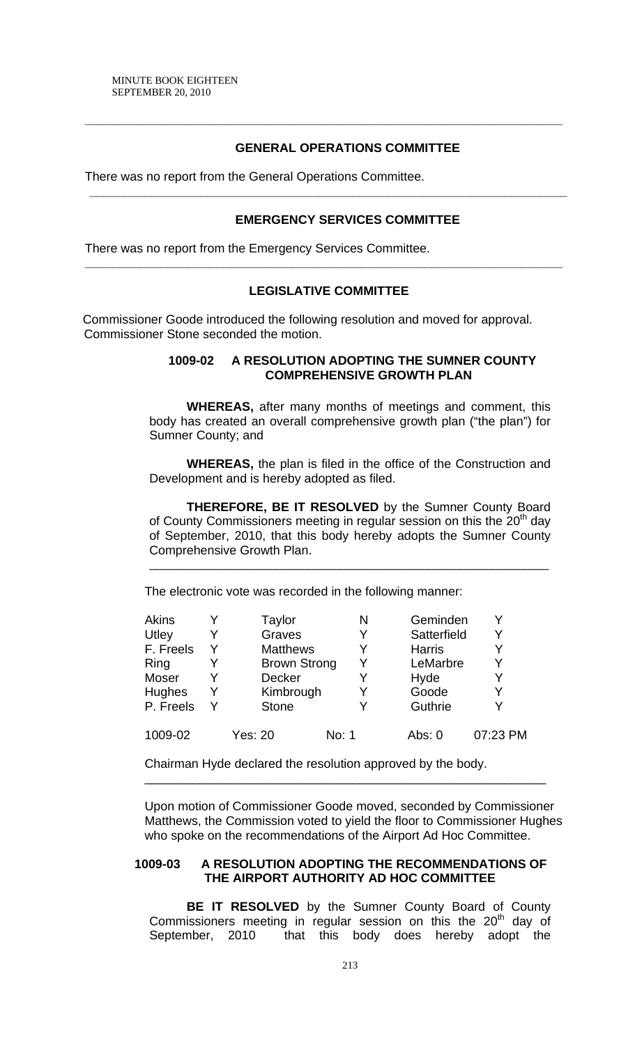# **GENERAL OPERATIONS COMMITTEE**

**\_\_\_\_\_\_\_\_\_\_\_\_\_\_\_\_\_\_\_\_\_\_\_\_\_\_\_\_\_\_\_\_\_\_\_\_\_\_\_\_\_\_\_\_\_\_\_\_\_\_\_\_\_\_\_\_\_\_\_\_\_\_\_\_\_\_\_\_\_** 

**\_\_\_\_\_\_\_\_\_\_\_\_\_\_\_\_\_\_\_\_\_\_\_\_\_\_\_\_\_\_\_\_\_\_\_\_\_\_\_\_\_\_\_\_\_\_\_\_\_\_\_\_\_\_\_\_\_\_\_\_\_\_\_\_\_\_\_\_\_** 

There was no report from the General Operations Committee.

## **EMERGENCY SERVICES COMMITTEE**

There was no report from the Emergency Services Committee.

## **LEGISLATIVE COMMITTEE**

**\_\_\_\_\_\_\_\_\_\_\_\_\_\_\_\_\_\_\_\_\_\_\_\_\_\_\_\_\_\_\_\_\_\_\_\_\_\_\_\_\_\_\_\_\_\_\_\_\_\_\_\_\_\_\_\_\_\_\_\_\_\_\_\_\_\_\_\_\_** 

Commissioner Goode introduced the following resolution and moved for approval. Commissioner Stone seconded the motion.

# **1009-02 A RESOLUTION ADOPTING THE SUMNER COUNTY COMPREHENSIVE GROWTH PLAN**

**WHEREAS,** after many months of meetings and comment, this body has created an overall comprehensive growth plan ("the plan") for Sumner County; and

**WHEREAS,** the plan is filed in the office of the Construction and Development and is hereby adopted as filed.

**THEREFORE, BE IT RESOLVED** by the Sumner County Board of County Commissioners meeting in regular session on this the  $20<sup>th</sup>$  day of September, 2010, that this body hereby adopts the Sumner County Comprehensive Growth Plan.

\_\_\_\_\_\_\_\_\_\_\_\_\_\_\_\_\_\_\_\_\_\_\_\_\_\_\_\_\_\_\_\_\_\_\_\_\_\_\_\_\_\_\_\_\_\_\_\_\_\_\_\_\_\_\_\_\_\_\_\_\_\_\_

The electronic vote was recorded in the following manner:

| <b>Akins</b>  |   | Taylor              | Ν     | Geminden      |          |
|---------------|---|---------------------|-------|---------------|----------|
| Utley         |   | Graves              | Y     | Satterfield   | Υ        |
| F. Freels     |   | <b>Matthews</b>     | Y     | <b>Harris</b> |          |
| <b>Ring</b>   |   | <b>Brown Strong</b> | Y     | LeMarbre      | v        |
| Moser         |   | <b>Decker</b>       | Y     | Hyde          |          |
| <b>Hughes</b> | Y | Kimbrough           |       | Goode         | Y        |
| P. Freels     |   | <b>Stone</b>        |       | Guthrie       |          |
| 1009-02       |   | <b>Yes: 20</b>      | No: 1 | Abs: $0$      | 07:23 PM |

Chairman Hyde declared the resolution approved by the body.

Upon motion of Commissioner Goode moved, seconded by Commissioner Matthews, the Commission voted to yield the floor to Commissioner Hughes who spoke on the recommendations of the Airport Ad Hoc Committee.

\_\_\_\_\_\_\_\_\_\_\_\_\_\_\_\_\_\_\_\_\_\_\_\_\_\_\_\_\_\_\_\_\_\_\_\_\_\_\_\_\_\_\_\_\_\_\_\_\_\_\_\_\_\_\_\_\_\_

## **1009-03 A RESOLUTION ADOPTING THE RECOMMENDATIONS OF THE AIRPORT AUTHORITY AD HOC COMMITTEE**

**BE IT RESOLVED** by the Sumner County Board of County Commissioners meeting in regular session on this the  $20<sup>th</sup>$  day of September, 2010 that this body does hereby adopt the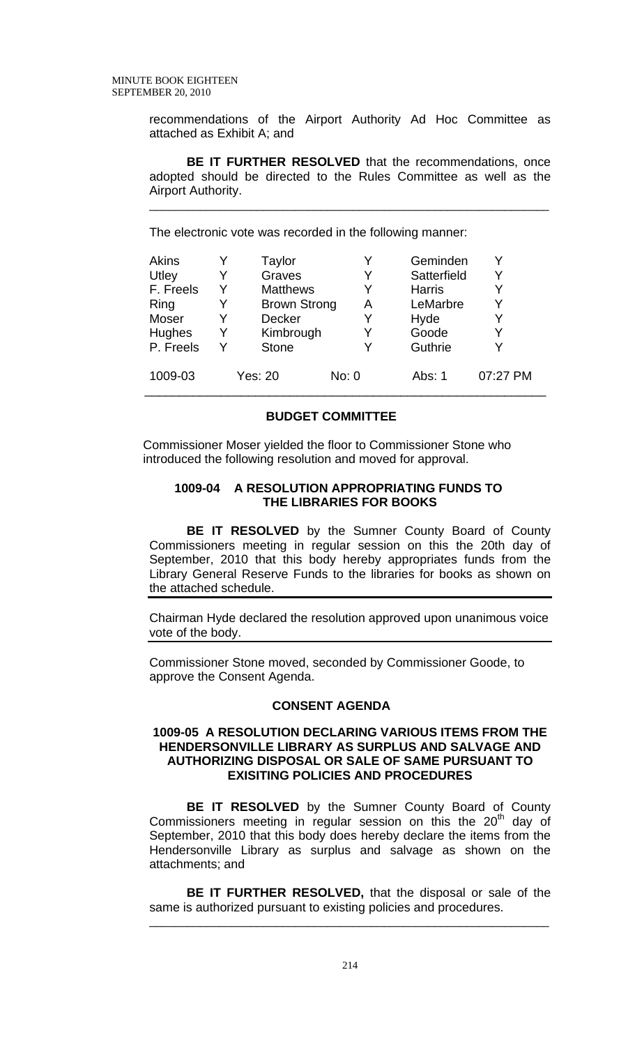recommendations of the Airport Authority Ad Hoc Committee as attached as Exhibit A; and

**BE IT FURTHER RESOLVED** that the recommendations, once adopted should be directed to the Rules Committee as well as the Airport Authority.

\_\_\_\_\_\_\_\_\_\_\_\_\_\_\_\_\_\_\_\_\_\_\_\_\_\_\_\_\_\_\_\_\_\_\_\_\_\_\_\_\_\_\_\_\_\_\_\_\_\_\_\_\_\_\_\_\_\_\_\_\_\_\_

The electronic vote was recorded in the following manner:

| <b>Akins</b> |   | Taylor              |       | Geminden      |          |
|--------------|---|---------------------|-------|---------------|----------|
| Utley        |   | Graves              |       | Satterfield   |          |
| F. Freels    | Y | <b>Matthews</b>     |       | <b>Harris</b> |          |
| Ring         |   | <b>Brown Strong</b> | Α     | LeMarbre      |          |
| Moser        |   | <b>Decker</b>       |       | Hyde          |          |
| Hughes       | Y | Kimbrough           |       | Goode         |          |
| P. Freels    | Y | <b>Stone</b>        |       | Guthrie       |          |
|              |   |                     |       |               |          |
| 1009-03      |   | Yes: 20             | No: 0 | Abs: 1        | 07:27 PM |
|              |   |                     |       |               |          |

#### **BUDGET COMMITTEE**

Commissioner Moser yielded the floor to Commissioner Stone who introduced the following resolution and moved for approval.

#### **1009-04 A RESOLUTION APPROPRIATING FUNDS TO THE LIBRARIES FOR BOOKS**

 **BE IT RESOLVED** by the Sumner County Board of County Commissioners meeting in regular session on this the 20th day of September, 2010 that this body hereby appropriates funds from the Library General Reserve Funds to the libraries for books as shown on the attached schedule.

Chairman Hyde declared the resolution approved upon unanimous voice vote of the body.

Commissioner Stone moved, seconded by Commissioner Goode, to approve the Consent Agenda.

## **CONSENT AGENDA**

#### **1009-05 A RESOLUTION DECLARING VARIOUS ITEMS FROM THE HENDERSONVILLE LIBRARY AS SURPLUS AND SALVAGE AND AUTHORIZING DISPOSAL OR SALE OF SAME PURSUANT TO EXISITING POLICIES AND PROCEDURES**

 **BE IT RESOLVED** by the Sumner County Board of County Commissioners meeting in regular session on this the  $20<sup>th</sup>$  day of September, 2010 that this body does hereby declare the items from the Hendersonville Library as surplus and salvage as shown on the attachments; and

**BE IT FURTHER RESOLVED,** that the disposal or sale of the same is authorized pursuant to existing policies and procedures.

\_\_\_\_\_\_\_\_\_\_\_\_\_\_\_\_\_\_\_\_\_\_\_\_\_\_\_\_\_\_\_\_\_\_\_\_\_\_\_\_\_\_\_\_\_\_\_\_\_\_\_\_\_\_\_\_\_\_\_\_\_\_\_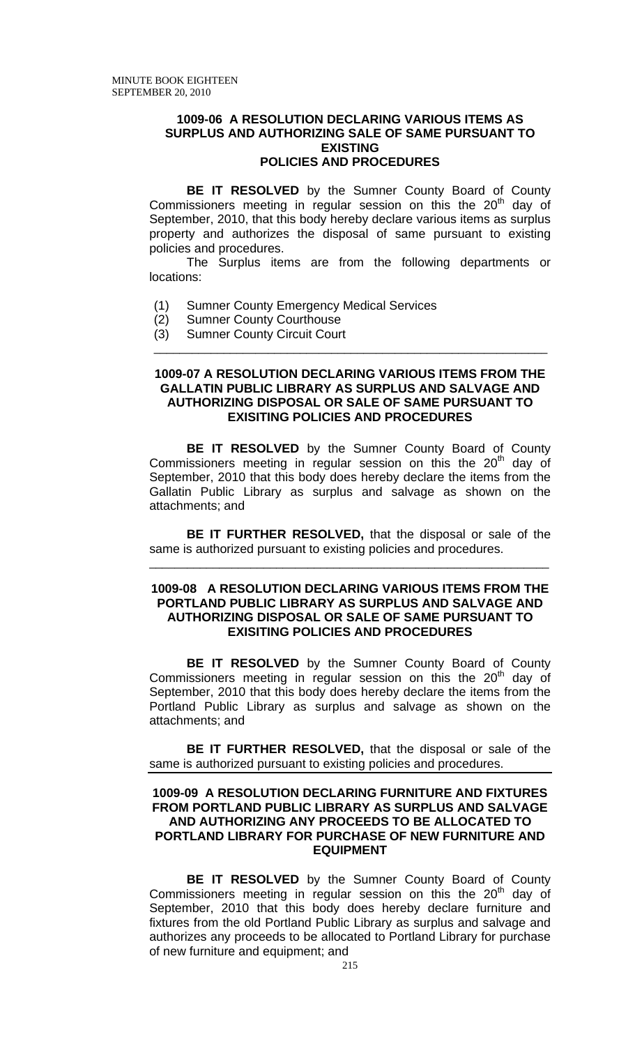#### **1009-06 A RESOLUTION DECLARING VARIOUS ITEMS AS SURPLUS AND AUTHORIZING SALE OF SAME PURSUANT TO EXISTING POLICIES AND PROCEDURES**

**BE IT RESOLVED** by the Sumner County Board of County Commissioners meeting in regular session on this the 20<sup>th</sup> day of September, 2010, that this body hereby declare various items as surplus property and authorizes the disposal of same pursuant to existing policies and procedures.

The Surplus items are from the following departments or locations:

- (1) Sumner County Emergency Medical Services
- (2) Sumner County Courthouse
- (3) Sumner County Circuit Court \_\_\_\_\_\_\_\_\_\_\_\_\_\_\_\_\_\_\_\_\_\_\_\_\_\_\_\_\_\_\_\_\_\_\_\_\_\_\_\_\_\_\_\_\_\_\_\_\_\_\_\_\_\_\_\_\_\_\_\_\_\_

#### **1009-07 A RESOLUTION DECLARING VARIOUS ITEMS FROM THE GALLATIN PUBLIC LIBRARY AS SURPLUS AND SALVAGE AND AUTHORIZING DISPOSAL OR SALE OF SAME PURSUANT TO EXISITING POLICIES AND PROCEDURES**

 **BE IT RESOLVED** by the Sumner County Board of County Commissioners meeting in regular session on this the  $20<sup>th</sup>$  day of September, 2010 that this body does hereby declare the items from the Gallatin Public Library as surplus and salvage as shown on the attachments; and

**BE IT FURTHER RESOLVED,** that the disposal or sale of the same is authorized pursuant to existing policies and procedures.

\_\_\_\_\_\_\_\_\_\_\_\_\_\_\_\_\_\_\_\_\_\_\_\_\_\_\_\_\_\_\_\_\_\_\_\_\_\_\_\_\_\_\_\_\_\_\_\_\_\_\_\_\_\_\_\_\_\_\_\_\_\_\_

## **1009-08 A RESOLUTION DECLARING VARIOUS ITEMS FROM THE PORTLAND PUBLIC LIBRARY AS SURPLUS AND SALVAGE AND AUTHORIZING DISPOSAL OR SALE OF SAME PURSUANT TO EXISITING POLICIES AND PROCEDURES**

 **BE IT RESOLVED** by the Sumner County Board of County Commissioners meeting in regular session on this the  $20<sup>th</sup>$  day of September, 2010 that this body does hereby declare the items from the Portland Public Library as surplus and salvage as shown on the attachments; and

**BE IT FURTHER RESOLVED,** that the disposal or sale of the same is authorized pursuant to existing policies and procedures.

### **1009-09 A RESOLUTION DECLARING FURNITURE AND FIXTURES FROM PORTLAND PUBLIC LIBRARY AS SURPLUS AND SALVAGE AND AUTHORIZING ANY PROCEEDS TO BE ALLOCATED TO PORTLAND LIBRARY FOR PURCHASE OF NEW FURNITURE AND EQUIPMENT**

**BE IT RESOLVED** by the Sumner County Board of County Commissioners meeting in regular session on this the  $20<sup>th</sup>$  day of September, 2010 that this body does hereby declare furniture and fixtures from the old Portland Public Library as surplus and salvage and authorizes any proceeds to be allocated to Portland Library for purchase of new furniture and equipment; and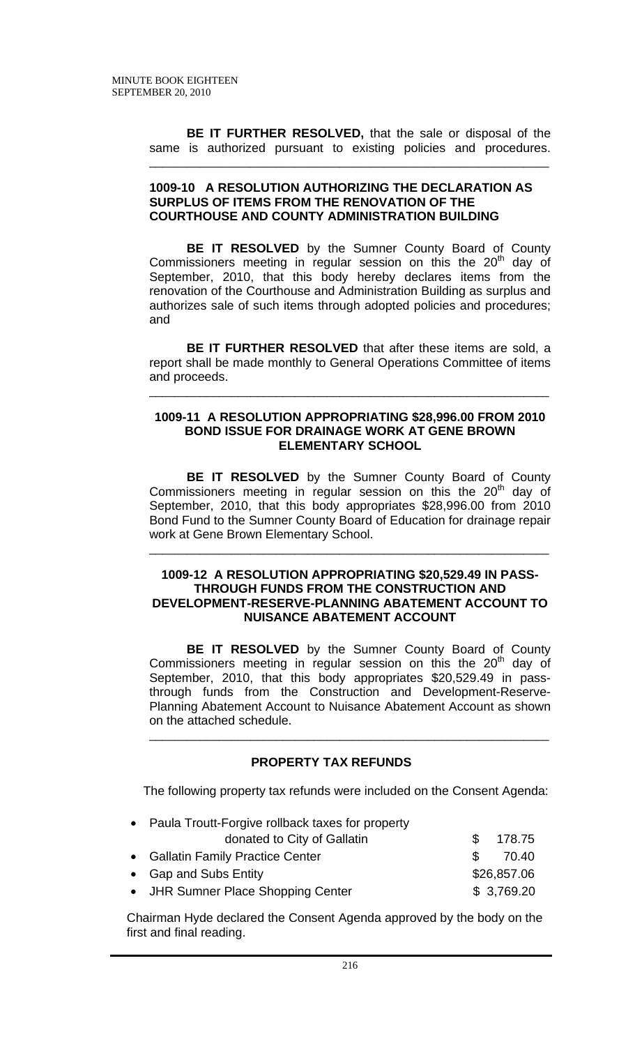**BE IT FURTHER RESOLVED,** that the sale or disposal of the same is authorized pursuant to existing policies and procedures.

\_\_\_\_\_\_\_\_\_\_\_\_\_\_\_\_\_\_\_\_\_\_\_\_\_\_\_\_\_\_\_\_\_\_\_\_\_\_\_\_\_\_\_\_\_\_\_\_\_\_\_\_\_\_\_\_\_\_\_\_\_\_\_

#### **1009-10 A RESOLUTION AUTHORIZING THE DECLARATION AS SURPLUS OF ITEMS FROM THE RENOVATION OF THE COURTHOUSE AND COUNTY ADMINISTRATION BUILDING**

**BE IT RESOLVED** by the Sumner County Board of County Commissioners meeting in regular session on this the  $20<sup>th</sup>$  day of September, 2010, that this body hereby declares items from the renovation of the Courthouse and Administration Building as surplus and authorizes sale of such items through adopted policies and procedures; and

**BE IT FURTHER RESOLVED** that after these items are sold, a report shall be made monthly to General Operations Committee of items and proceeds.

\_\_\_\_\_\_\_\_\_\_\_\_\_\_\_\_\_\_\_\_\_\_\_\_\_\_\_\_\_\_\_\_\_\_\_\_\_\_\_\_\_\_\_\_\_\_\_\_\_\_\_\_\_\_\_\_\_\_\_\_\_\_\_

## **1009-11 A RESOLUTION APPROPRIATING \$28,996.00 FROM 2010 BOND ISSUE FOR DRAINAGE WORK AT GENE BROWN ELEMENTARY SCHOOL**

 **BE IT RESOLVED** by the Sumner County Board of County Commissioners meeting in regular session on this the  $20<sup>th</sup>$  day of September, 2010, that this body appropriates \$28,996.00 from 2010 Bond Fund to the Sumner County Board of Education for drainage repair work at Gene Brown Elementary School.

\_\_\_\_\_\_\_\_\_\_\_\_\_\_\_\_\_\_\_\_\_\_\_\_\_\_\_\_\_\_\_\_\_\_\_\_\_\_\_\_\_\_\_\_\_\_\_\_\_\_\_\_\_\_\_\_\_\_\_\_\_\_\_

## **1009-12 A RESOLUTION APPROPRIATING \$20,529.49 IN PASS-THROUGH FUNDS FROM THE CONSTRUCTION AND DEVELOPMENT-RESERVE-PLANNING ABATEMENT ACCOUNT TO NUISANCE ABATEMENT ACCOUNT**

 **BE IT RESOLVED** by the Sumner County Board of County Commissioners meeting in regular session on this the  $20<sup>th</sup>$  day of September, 2010, that this body appropriates \$20,529.49 in passthrough funds from the Construction and Development-Reserve-Planning Abatement Account to Nuisance Abatement Account as shown on the attached schedule. \_\_\_\_\_\_\_\_\_\_\_\_\_\_\_\_\_\_\_\_\_\_\_\_\_\_\_\_\_\_\_\_\_\_\_\_\_\_\_\_\_\_\_\_\_\_\_\_\_\_\_\_\_\_\_\_\_\_\_\_\_\_\_

# **PROPERTY TAX REFUNDS**

The following property tax refunds were included on the Consent Agenda:

| • Paula Troutt-Forgive rollback taxes for property |    |             |
|----------------------------------------------------|----|-------------|
| donated to City of Gallatin                        | S. | 178.75      |
| • Gallatin Family Practice Center                  | £. | 70.40       |
| • Gap and Subs Entity                              |    | \$26,857.06 |
| • JHR Sumner Place Shopping Center                 |    | \$3,769.20  |

 Chairman Hyde declared the Consent Agenda approved by the body on the first and final reading.